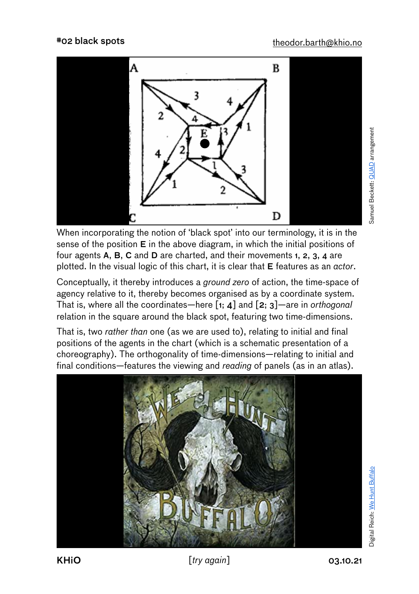

When incorporating the notion of 'black spot' into our terminology, it is in the sense of the position E in the above diagram, in which the initial positions of four agents A, B, C and D are charted, and their movements 1, 2, 3, 4 are plotted. In the visual logic of this chart, it is clear that E features as an *actor*.

Conceptually, it thereby introduces a *ground zero* of action, the time-space of agency relative to it, thereby becomes organised as by a coordinate system. That is, where all the coordinates—here [1; 4] and [2; 3]—are in *orthogonal* relation in the square around the black spot, featuring two time-dimensions.

That is, two *rather than* one (as we are used to), relating to initial and final positions of the agents in the chart (which is a schematic presentation of a choreography). The orthogonality of time-dimensions—relating to initial and final conditions—features the viewing and *reading* of panels (as in an atlas).



KHiO [*try again*] 03.10.21